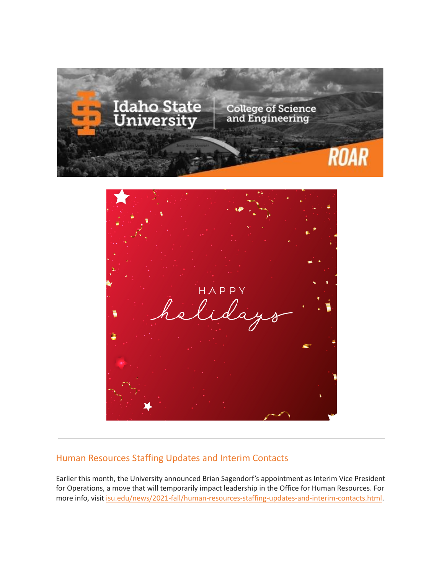

## Human Resources Staffing Updates and Interim Contacts

Earlier this month, the University announced Brian Sagendorf's appointment as Interim Vice President for Operations, a move that will temporarily impact leadership in the Office for Human Resources. For more info, visit [isu.edu/news/2021-fall/human-resources-staffing-updates-and-interim-contacts.html](https://www.isu.edu/news/2021-fall/human-resources-staffing-updates-and-interim-contacts.html).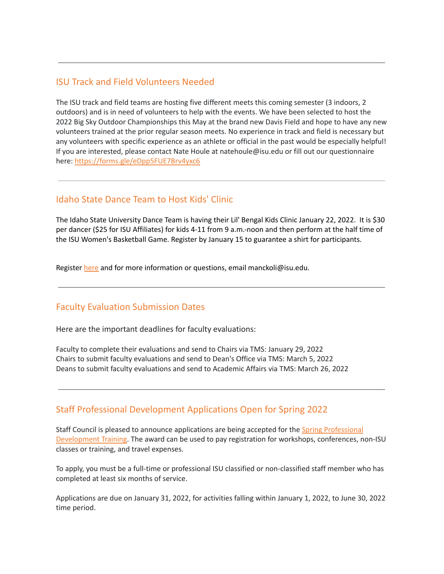#### ISU Track and Field Volunteers Needed

The ISU track and field teams are hosting five different meets this coming semester (3 indoors, 2 outdoors) and is in need of volunteers to help with the events. We have been selected to host the 2022 Big Sky Outdoor Championships this May at the brand new Davis Field and hope to have any new volunteers trained at the prior regular season meets. No experience in track and field is necessary but any volunteers with specific experience as an athlete or official in the past would be especially helpful! If you are interested, please contact Nate Houle at natehoule@isu.edu or fill out our questionnaire here: <https://forms.gle/eDpp5FUE7Brv4yxc6>

### Idaho State Dance Team to Host Kids' Clinic

The Idaho State University Dance Team is having their Lil' Bengal Kids Clinic January 22, 2022. It is \$30 per dancer (\$25 for ISU Affiliates) for kids 4-11 from 9 a.m.-noon and then perform at the half time of the ISU Women's Basketball Game. Register by January 15 to guarantee a shirt for participants.

Register [here](https://forms.gle/jo7ay9tgS9kT6yFF9) and for more information or questions, email manckoli@isu.edu.

### Faculty Evaluation Submission Dates

Here are the important deadlines for faculty evaluations:

Faculty to complete their evaluations and send to Chairs via TMS: January 29, 2022 Chairs to submit faculty evaluations and send to Dean's Office via TMS: March 5, 2022 Deans to submit faculty evaluations and send to Academic Affairs via TMS: March 26, 2022

### Staff Professional Development Applications Open for Spring 2022

Staff Council is pleased to announce applications are being accepted for the Spring [Professional](https://www.isu.edu/staffcouncil/professional-development/) [Development](https://www.isu.edu/staffcouncil/professional-development/) Training. The award can be used to pay registration for workshops, conferences, non-ISU classes or training, and travel expenses.

To apply, you must be a full-time or professional ISU classified or non-classified staff member who has completed at least six months of service.

Applications are due on January 31, 2022, for activities falling within January 1, 2022, to June 30, 2022 time period.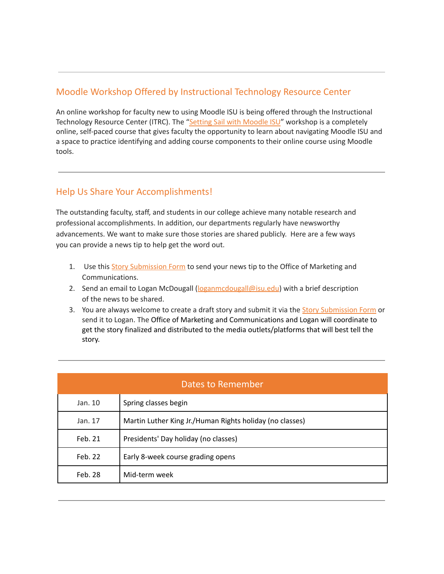## Moodle Workshop Offered by Instructional Technology Resource Center

An online workshop for faculty new to using Moodle ISU is being offered through the Instructional Technology Resource Center (ITRC). The "Setting Sail with [Moodle](https://docs.google.com/forms/d/e/1FAIpQLSdJFGKro8x5N0mBHd428sq-UX80_jiNsl9wIgBiNYv0_yzlkA/viewform) ISU" workshop is a completely online, self-paced course that gives faculty the opportunity to learn about navigating Moodle ISU and a space to practice identifying and adding course components to their online course using Moodle tools.

### Help Us Share Your Accomplishments!

The outstanding faculty, staff, and students in our college achieve many notable research and professional accomplishments. In addition, our departments regularly have newsworthy advancements. We want to make sure those stories are shared publicly. Here are a few ways you can provide a news tip to help get the word out.

- 1. Use this Story [Submission](https://www.isu.edu/news/story-form/) Form to send your news tip to the Office of Marketing and Communications.
- 2. Send an email to Logan McDougall ( $logan \text{mod } \text{log}$ isu.edu) with a brief description of the news to be shared.
- 3. You are always welcome to create a draft story and submit it via the **Story [Submission](https://www.isu.edu/news/story-form/) Form** or send it to Logan. The Office of Marketing and Communications and Logan will coordinate to get the story finalized and distributed to the media outlets/platforms that will best tell the story.

| Dates to Remember |                                                          |  |
|-------------------|----------------------------------------------------------|--|
| Jan. 10           | Spring classes begin                                     |  |
| Jan. 17           | Martin Luther King Jr./Human Rights holiday (no classes) |  |
| Feb. 21           | Presidents' Day holiday (no classes)                     |  |
| Feb. 22           | Early 8-week course grading opens                        |  |
| Feb. 28           | Mid-term week                                            |  |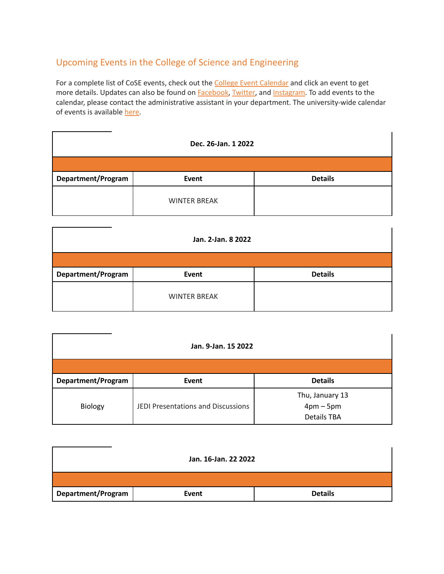# Upcoming Events in the College of Science and Engineering

For a complete list of CoSE events, check out the College Event [Calendar](https://isu.edu/cse/calendar/) and click an event to get more details. Updates can also be found on **[Facebook](https://www.facebook.com/IdahoStateUCoSE)**, [Twitter](https://twitter.com/IdahoStateUCoSE), and [Instagram.](https://www.instagram.com/idahostateucose/) To add events to the calendar, please contact the administrative assistant in your department. The university-wide calendar of events is available [here](https://www.isu.edu/calendar/).

| Dec. 26-Jan. 1 2022 |                     |                |  |  |
|---------------------|---------------------|----------------|--|--|
|                     |                     |                |  |  |
| Department/Program  | Event               | <b>Details</b> |  |  |
|                     | <b>WINTER BREAK</b> |                |  |  |

| Jan. 2-Jan. 8 2022 |                     |                |  |  |
|--------------------|---------------------|----------------|--|--|
|                    |                     |                |  |  |
| Department/Program | Event               | <b>Details</b> |  |  |
|                    | <b>WINTER BREAK</b> |                |  |  |

| Jan. 9-Jan. 15 2022 |                                    |                                                    |  |  |  |
|---------------------|------------------------------------|----------------------------------------------------|--|--|--|
|                     |                                    |                                                    |  |  |  |
| Department/Program  | Event                              | <b>Details</b>                                     |  |  |  |
| Biology             | JEDI Presentations and Discussions | Thu, January 13<br>$4pm-5pm$<br><b>Details TBA</b> |  |  |  |

| Jan. 16-Jan. 22 2022 |       |                |  |  |
|----------------------|-------|----------------|--|--|
|                      |       |                |  |  |
| Department/Program   | Event | <b>Details</b> |  |  |